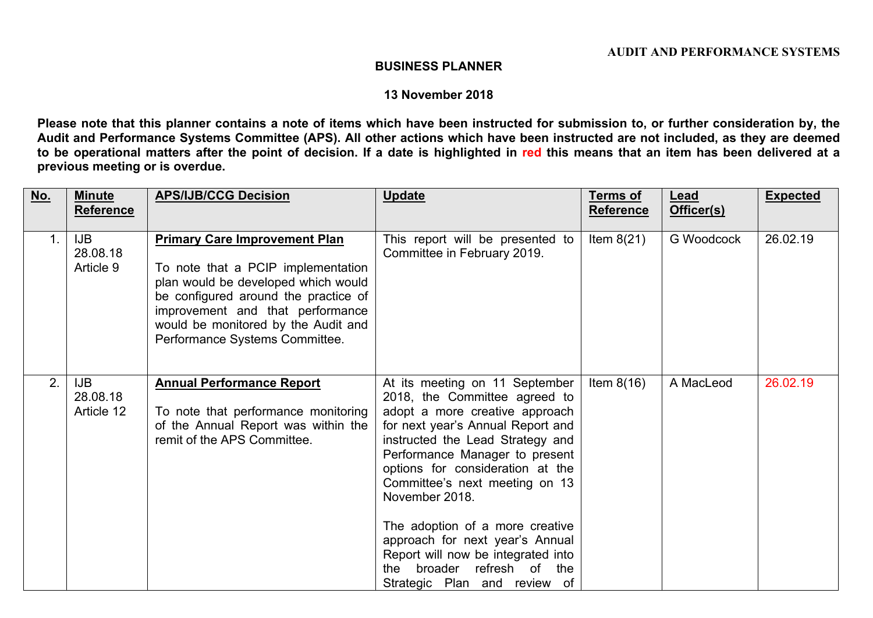## **BUSINESS PLANNER**

## **13 November 2018**

Please note that this planner contains a note of items which have been instructed for submission to, or further consideration by, the Audit and Performance Systems Committee (APS). All other actions which have been instructed are not included, as they are deemed to be operational matters after the point of decision. If a date is highlighted in red this means that an item has been delivered at a **previous meeting or is overdue.**

| No.            | <b>Minute</b><br><b>Reference</b>    | <b>APS/IJB/CCG Decision</b>                                                                                                                                                                                                                                            | <b>Update</b>                                                                                                                                                                                                                                                                                                                                                                                                                                                                  | <b>Terms of</b><br><b>Reference</b> | Lead<br>Officer(s) | <b>Expected</b> |
|----------------|--------------------------------------|------------------------------------------------------------------------------------------------------------------------------------------------------------------------------------------------------------------------------------------------------------------------|--------------------------------------------------------------------------------------------------------------------------------------------------------------------------------------------------------------------------------------------------------------------------------------------------------------------------------------------------------------------------------------------------------------------------------------------------------------------------------|-------------------------------------|--------------------|-----------------|
| 1 <sub>1</sub> | <b>IJB</b><br>28.08.18<br>Article 9  | <b>Primary Care Improvement Plan</b><br>To note that a PCIP implementation<br>plan would be developed which would<br>be configured around the practice of<br>improvement and that performance<br>would be monitored by the Audit and<br>Performance Systems Committee. | This report will be presented to<br>Committee in February 2019.                                                                                                                                                                                                                                                                                                                                                                                                                | Item $8(21)$                        | G Woodcock         | 26.02.19        |
| 2.             | <b>IJB</b><br>28.08.18<br>Article 12 | <b>Annual Performance Report</b><br>To note that performance monitoring<br>of the Annual Report was within the<br>remit of the APS Committee.                                                                                                                          | At its meeting on 11 September<br>2018, the Committee agreed to<br>adopt a more creative approach<br>for next year's Annual Report and<br>instructed the Lead Strategy and<br>Performance Manager to present<br>options for consideration at the<br>Committee's next meeting on 13<br>November 2018.<br>The adoption of a more creative<br>approach for next year's Annual<br>Report will now be integrated into<br>the broader refresh of the<br>Strategic Plan and review of | Item $8(16)$                        | A MacLeod          | 26.02.19        |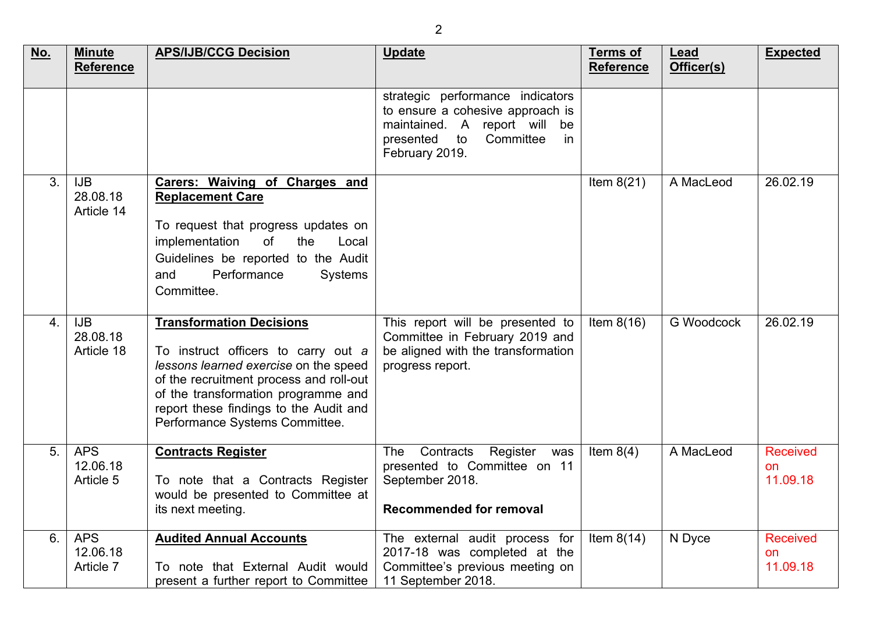| <u>No.</u> | <b>Minute</b><br><b>Reference</b>    | <b>APS/IJB/CCG Decision</b>                                                                                                                                                                                                                                                   | <b>Update</b>                                                                                                                                                | <b>Terms of</b><br><b>Reference</b> | Lead<br>Officer(s) | <b>Expected</b>                          |
|------------|--------------------------------------|-------------------------------------------------------------------------------------------------------------------------------------------------------------------------------------------------------------------------------------------------------------------------------|--------------------------------------------------------------------------------------------------------------------------------------------------------------|-------------------------------------|--------------------|------------------------------------------|
|            |                                      |                                                                                                                                                                                                                                                                               | strategic performance indicators<br>to ensure a cohesive approach is<br>maintained. A report will be<br>Committee<br>presented<br>in<br>to<br>February 2019. |                                     |                    |                                          |
| 3.         | <b>IJB</b><br>28.08.18<br>Article 14 | Carers: Waiving of Charges and<br><b>Replacement Care</b><br>To request that progress updates on<br>of<br>implementation<br>the<br>Local<br>Guidelines be reported to the Audit<br>Performance<br>and<br><b>Systems</b><br>Committee.                                         |                                                                                                                                                              | Item $8(21)$                        | A MacLeod          | 26.02.19                                 |
| 4.         | <b>IJB</b><br>28.08.18<br>Article 18 | <b>Transformation Decisions</b><br>To instruct officers to carry out a<br>lessons learned exercise on the speed<br>of the recruitment process and roll-out<br>of the transformation programme and<br>report these findings to the Audit and<br>Performance Systems Committee. | This report will be presented to<br>Committee in February 2019 and<br>be aligned with the transformation<br>progress report.                                 | Item $8(16)$                        | <b>G Woodcock</b>  | 26.02.19                                 |
| 5.         | <b>APS</b><br>12.06.18<br>Article 5  | <b>Contracts Register</b><br>To note that a Contracts Register<br>would be presented to Committee at<br>its next meeting.                                                                                                                                                     | Contracts<br>Register was<br><b>The</b><br>presented to Committee on 11<br>September 2018.<br><b>Recommended for removal</b>                                 | Item $8(4)$                         | A MacLeod          | <b>Received</b><br><b>on</b><br>11.09.18 |
| 6.         | <b>APS</b><br>12.06.18<br>Article 7  | <b>Audited Annual Accounts</b><br>To note that External Audit would<br>present a further report to Committee                                                                                                                                                                  | The external audit process for<br>2017-18 was completed at the<br>Committee's previous meeting on<br>11 September 2018.                                      | Item $8(14)$                        | N Dyce             | <b>Received</b><br>on<br>11.09.18        |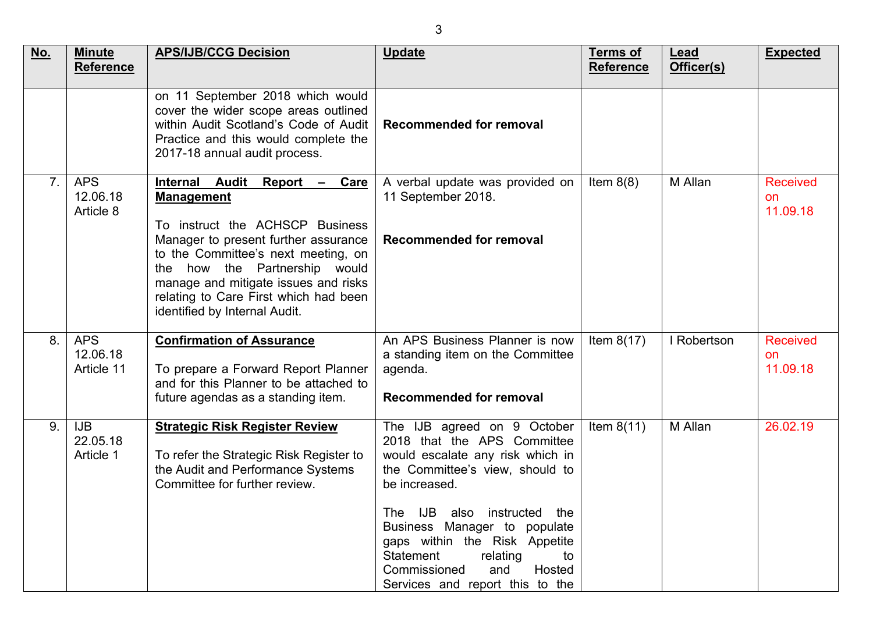| No.            | <b>Minute</b><br>Reference           | <b>APS/IJB/CCG Decision</b>                                                                                                                                                                                                                                                                                                                           | <b>Update</b>                                                                                                                                                                                                                                                                                                                                         | <b>Terms of</b><br><b>Reference</b> | Lead<br>Officer(s) | <b>Expected</b>                   |
|----------------|--------------------------------------|-------------------------------------------------------------------------------------------------------------------------------------------------------------------------------------------------------------------------------------------------------------------------------------------------------------------------------------------------------|-------------------------------------------------------------------------------------------------------------------------------------------------------------------------------------------------------------------------------------------------------------------------------------------------------------------------------------------------------|-------------------------------------|--------------------|-----------------------------------|
|                |                                      | on 11 September 2018 which would<br>cover the wider scope areas outlined<br>within Audit Scotland's Code of Audit<br>Practice and this would complete the<br>2017-18 annual audit process.                                                                                                                                                            | Recommended for removal                                                                                                                                                                                                                                                                                                                               |                                     |                    |                                   |
| 7 <sub>1</sub> | <b>APS</b><br>12.06.18<br>Article 8  | <b>Internal</b><br><b>Audit</b><br>Report<br>Care<br>$\sim$<br><b>Management</b><br>To instruct the ACHSCP Business<br>Manager to present further assurance<br>to the Committee's next meeting, on<br>the how the Partnership would<br>manage and mitigate issues and risks<br>relating to Care First which had been<br>identified by Internal Audit. | A verbal update was provided on<br>11 September 2018.<br><b>Recommended for removal</b>                                                                                                                                                                                                                                                               | Item $8(8)$                         | M Allan            | <b>Received</b><br>on<br>11.09.18 |
| 8.             | <b>APS</b><br>12.06.18<br>Article 11 | <b>Confirmation of Assurance</b><br>To prepare a Forward Report Planner<br>and for this Planner to be attached to<br>future agendas as a standing item.                                                                                                                                                                                               | An APS Business Planner is now<br>a standing item on the Committee<br>agenda.<br><b>Recommended for removal</b>                                                                                                                                                                                                                                       | Item $8(17)$                        | I Robertson        | <b>Received</b><br>on<br>11.09.18 |
| 9.             | <b>IJB</b><br>22.05.18<br>Article 1  | <b>Strategic Risk Register Review</b><br>To refer the Strategic Risk Register to<br>the Audit and Performance Systems<br>Committee for further review.                                                                                                                                                                                                | The IJB agreed on 9 October<br>2018 that the APS Committee<br>would escalate any risk which in<br>the Committee's view, should to<br>be increased.<br>The IJB also instructed the<br>Business Manager to populate<br>gaps within the Risk Appetite<br>Statement<br>relating<br>to<br>Commissioned<br>and<br>Hosted<br>Services and report this to the | Item $8(11)$                        | M Allan            | 26.02.19                          |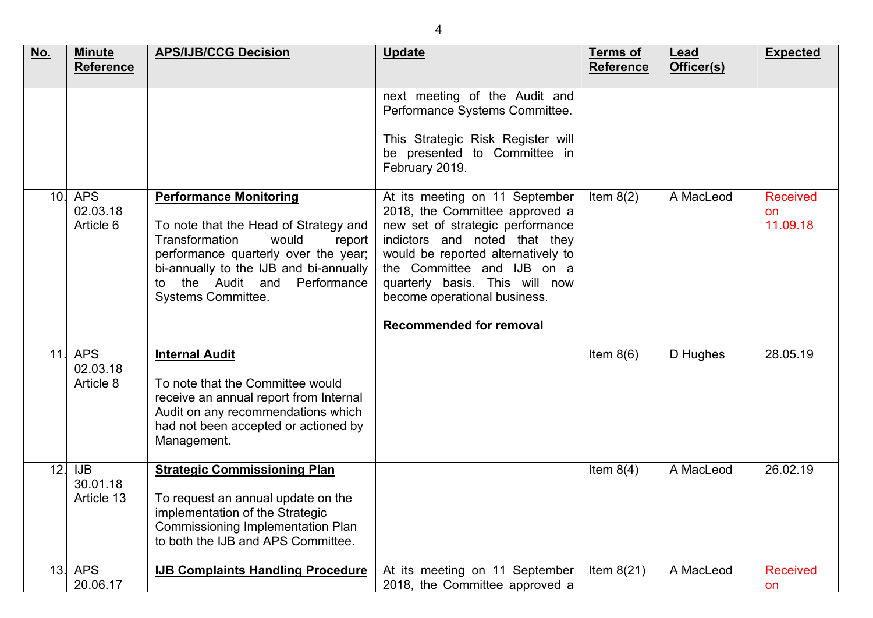| No.             | <b>Minute</b><br><b>Reference</b>    | <b>APS/IJB/CCG Decision</b>                                                                                                                                                                                                                                      | <b>Update</b>                                                                                                                                                                                                                                                                                                 | <b>Terms of</b><br><b>Reference</b> | Lead<br>Officer(s) | <b>Expected</b>                   |
|-----------------|--------------------------------------|------------------------------------------------------------------------------------------------------------------------------------------------------------------------------------------------------------------------------------------------------------------|---------------------------------------------------------------------------------------------------------------------------------------------------------------------------------------------------------------------------------------------------------------------------------------------------------------|-------------------------------------|--------------------|-----------------------------------|
|                 |                                      |                                                                                                                                                                                                                                                                  | next meeting of the Audit and<br>Performance Systems Committee.<br>This Strategic Risk Register will<br>be presented to Committee in<br>February 2019.                                                                                                                                                        |                                     |                    |                                   |
| 10 <sub>1</sub> | <b>APS</b><br>02.03.18<br>Article 6  | <b>Performance Monitoring</b><br>To note that the Head of Strategy and<br><b>Transformation</b><br>would<br>report<br>performance quarterly over the year;<br>bi-annually to the IJB and bi-annually<br>the Audit and<br>Performance<br>to<br>Systems Committee. | At its meeting on 11 September<br>2018, the Committee approved a<br>new set of strategic performance<br>indictors and noted that they<br>would be reported alternatively to<br>the Committee and IJB on a<br>quarterly basis. This will now<br>become operational business.<br><b>Recommended for removal</b> | Item $8(2)$                         | A MacLeod          | <b>Received</b><br>on<br>11.09.18 |
| 11.             | <b>APS</b><br>02.03.18<br>Article 8  | <b>Internal Audit</b><br>To note that the Committee would<br>receive an annual report from Internal<br>Audit on any recommendations which<br>had not been accepted or actioned by<br>Management.                                                                 |                                                                                                                                                                                                                                                                                                               | Item $8(6)$                         | D Hughes           | 28.05.19                          |
| 12.             | <b>IJB</b><br>30.01.18<br>Article 13 | <b>Strategic Commissioning Plan</b><br>To request an annual update on the<br>implementation of the Strategic<br>Commissioning Implementation Plan<br>to both the IJB and APS Committee.                                                                          |                                                                                                                                                                                                                                                                                                               | Item $8(4)$                         | A MacLeod          | 26.02.19                          |
| 13.             | <b>APS</b><br>20.06.17               | <b>IJB Complaints Handling Procedure</b>                                                                                                                                                                                                                         | At its meeting on 11 September<br>2018, the Committee approved a                                                                                                                                                                                                                                              | Item $8(21)$                        | A MacLeod          | <b>Received</b><br>on             |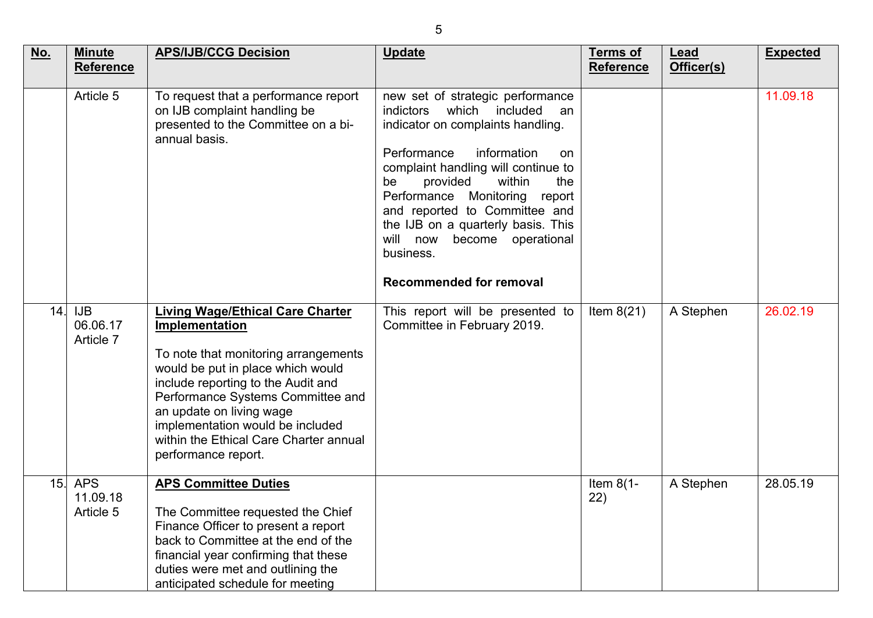| <u>No.</u> | <b>Minute</b><br><b>Reference</b>   | <b>APS/IJB/CCG Decision</b>                                                                                                                                                                                                                                                                                                                        | <b>Update</b>                                                                                                                                                                                                                                                                                                                                                                                                               | <b>Terms of</b><br><b>Reference</b> | Lead<br>Officer(s) | <b>Expected</b> |
|------------|-------------------------------------|----------------------------------------------------------------------------------------------------------------------------------------------------------------------------------------------------------------------------------------------------------------------------------------------------------------------------------------------------|-----------------------------------------------------------------------------------------------------------------------------------------------------------------------------------------------------------------------------------------------------------------------------------------------------------------------------------------------------------------------------------------------------------------------------|-------------------------------------|--------------------|-----------------|
|            | Article 5                           | To request that a performance report<br>on IJB complaint handling be<br>presented to the Committee on a bi-<br>annual basis.                                                                                                                                                                                                                       | new set of strategic performance<br>which<br><i>indictors</i><br>included<br>an<br>indicator on complaints handling.<br>Performance<br>information<br>on<br>complaint handling will continue to<br>be<br>provided<br>within<br>the<br>Performance Monitoring<br>report<br>and reported to Committee and<br>the IJB on a quarterly basis. This<br>will now become operational<br>business.<br><b>Recommended for removal</b> |                                     |                    | 11.09.18        |
| 14.        | <b>IJB</b><br>06.06.17<br>Article 7 | <b>Living Wage/Ethical Care Charter</b><br>Implementation<br>To note that monitoring arrangements<br>would be put in place which would<br>include reporting to the Audit and<br>Performance Systems Committee and<br>an update on living wage<br>implementation would be included<br>within the Ethical Care Charter annual<br>performance report. | This report will be presented to<br>Committee in February 2019.                                                                                                                                                                                                                                                                                                                                                             | Item $8(21)$                        | A Stephen          | 26.02.19        |
| 15.        | <b>APS</b><br>11.09.18<br>Article 5 | <b>APS Committee Duties</b><br>The Committee requested the Chief<br>Finance Officer to present a report<br>back to Committee at the end of the<br>financial year confirming that these<br>duties were met and outlining the<br>anticipated schedule for meeting                                                                                    |                                                                                                                                                                                                                                                                                                                                                                                                                             | Item $8(1 -$<br>22)                 | A Stephen          | 28.05.19        |